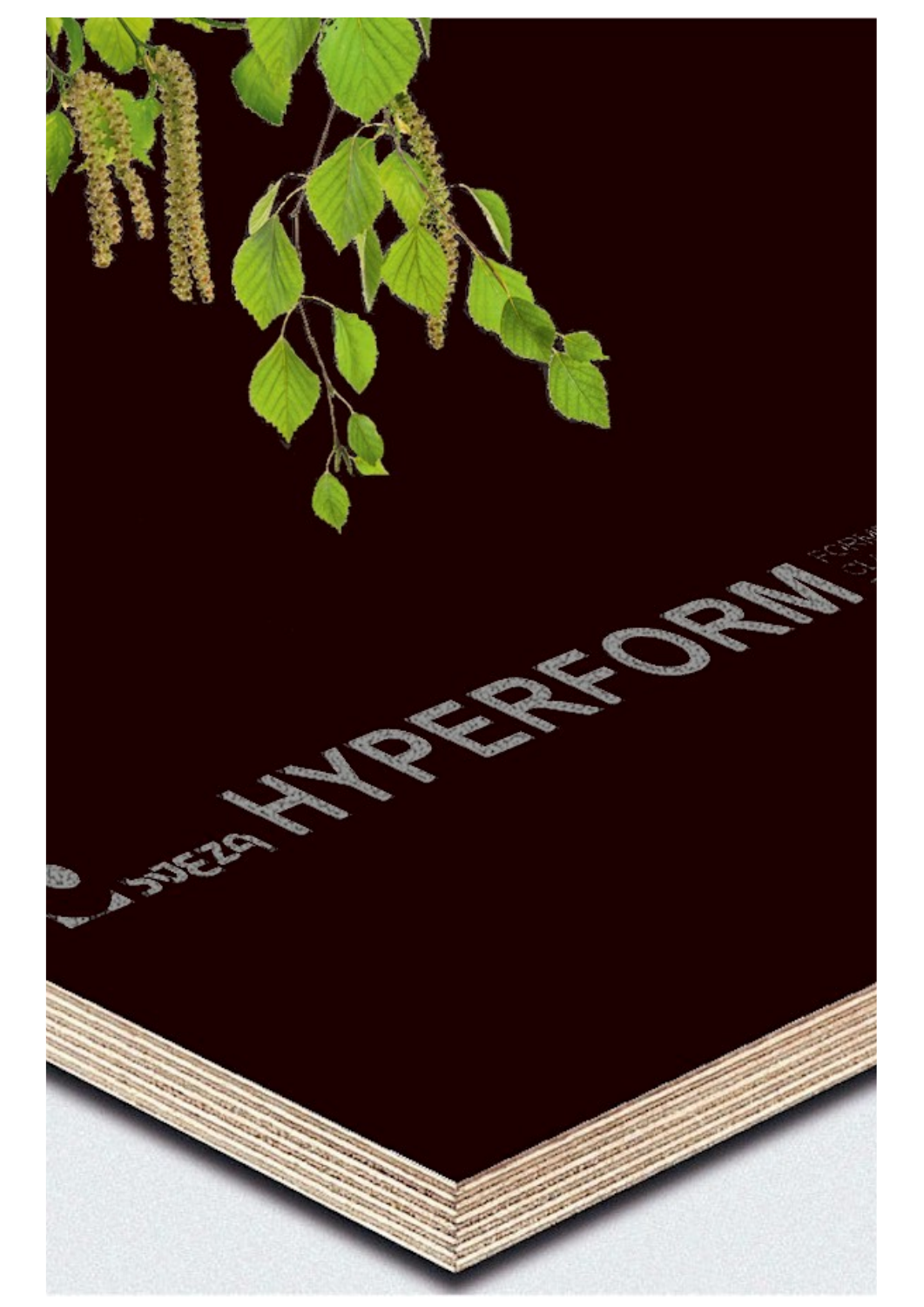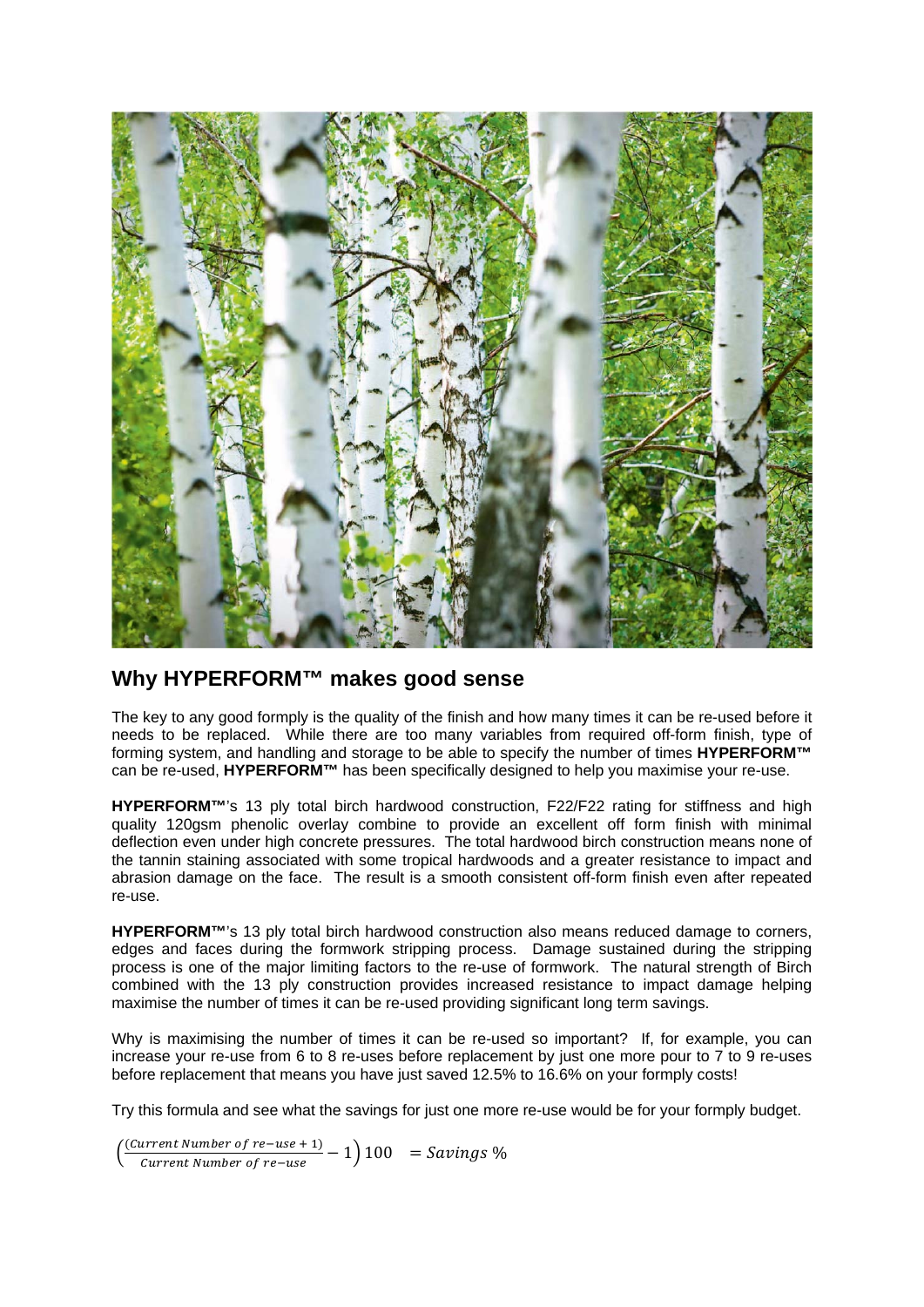

## **Why HYPERFORM™ makes good sense**

The key to any good formply is the quality of the finish and how many times it can be re-used before it needs to be replaced. While there are too many variables from required off-form finish, type of forming system, and handling and storage to be able to specify the number of times **HYPERFORM™** can be re-used, **HYPERFORM™** has been specifically designed to help you maximise your re-use.

**HYPERFORM™**'s 13 ply total birch hardwood construction, F22/F22 rating for stiffness and high quality 120gsm phenolic overlay combine to provide an excellent off form finish with minimal deflection even under high concrete pressures. The total hardwood birch construction means none of the tannin staining associated with some tropical hardwoods and a greater resistance to impact and abrasion damage on the face. The result is a smooth consistent off-form finish even after repeated re-use.

**HYPERFORM™**'s 13 ply total birch hardwood construction also means reduced damage to corners, edges and faces during the formwork stripping process. Damage sustained during the stripping process is one of the major limiting factors to the re-use of formwork. The natural strength of Birch combined with the 13 ply construction provides increased resistance to impact damage helping maximise the number of times it can be re-used providing significant long term savings.

Why is maximising the number of times it can be re-used so important? If, for example, you can increase your re-use from 6 to 8 re-uses before replacement by just one more pour to 7 to 9 re-uses before replacement that means you have just saved 12.5% to 16.6% on your formply costs!

Try this formula and see what the savings for just one more re-use would be for your formply budget.

 $\frac{(\text{Current Number of } re - use + 1)}{(\text{current Number of } re - use + 1)}$  $\frac{a_1}{b_1 + b_2}$   $\frac{a_2}{b_2 + b_3}$   $\frac{b_3}{b_3 + b_4}$   $\frac{b_4}{b_4 + b_5}$   $\frac{c_4}{b_5 + b_6}$   $\frac{d_5}{b_6 + b_6}$   $\frac{d_6}{b_6 + b_6}$   $\frac{d_7}{b_7 + b_8}$   $\frac{d_8}{b_8 + b_8}$   $\frac{d_9}{b_9 + b_8}$   $\frac{d_9}{b_9 + b_8}$   $\frac{d_9}{b_9 + b_8}$   $\frac{d$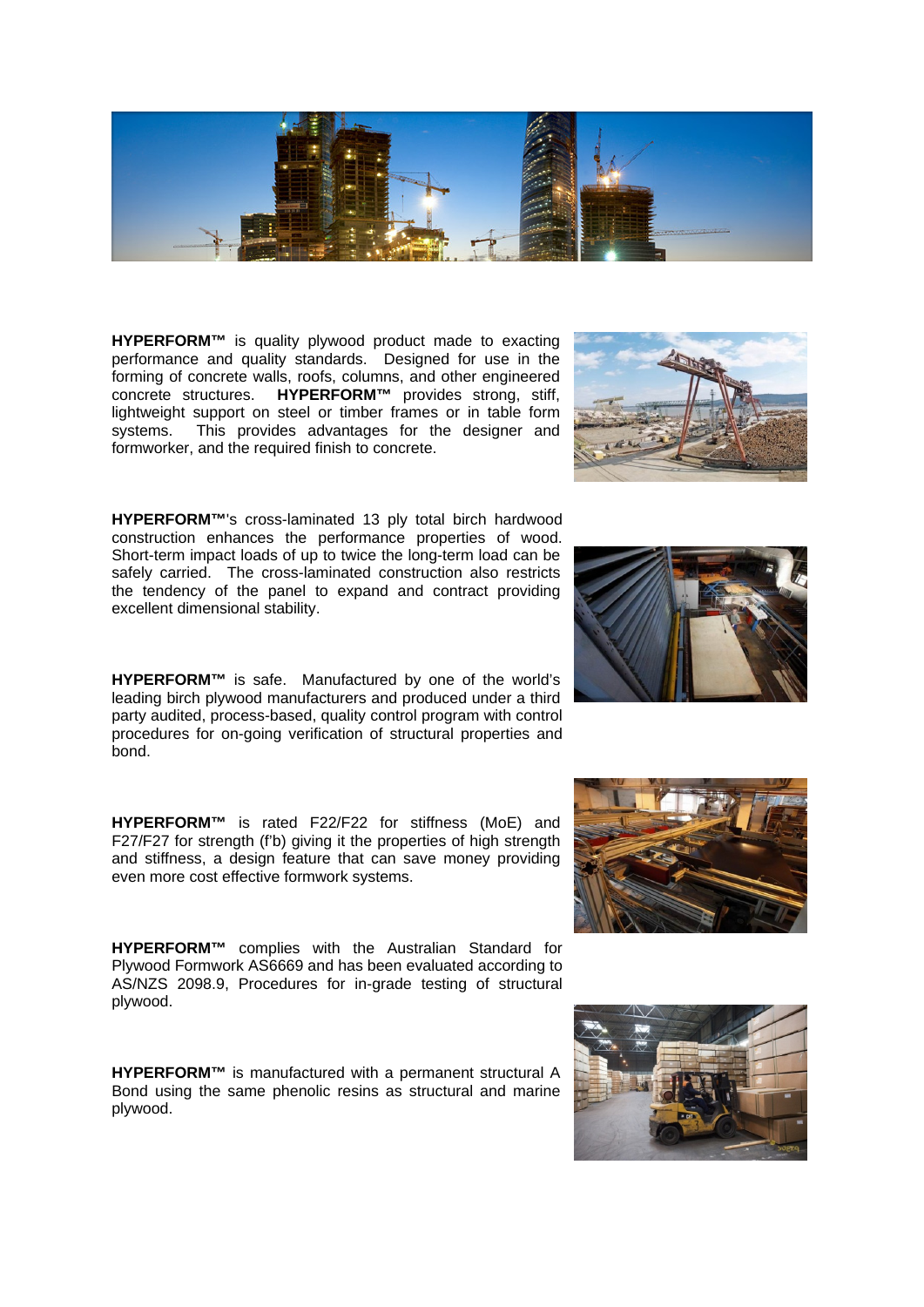**HYPERFORM™** is quality plywood product made to exacting performance and quality standards. Designed for use in the forming of concrete walls, roofs, columns, and other engineered concrete structures. **HYPERFORM™** provides strong, stiff, lightweight support on steel or timber frames or in table form systems. This provides advantages for the designer and formworker, and the required finish to concrete.

construction enhances the performance properties of wood. Short-term impact loads of up to twice the long-term load can be safely carried. The cross-laminated construction also restricts the tendency of the panel to expand and contract providing excellent dimensional stability.

**HYPERFORM™** is safe. Manufactured by one of the world's leading birch plywood manufacturers and produced under a third party audited, process-based, quality control program with control procedures for on-going verification of structural properties and bond.

**HYPERFORM™** is rated F22/F22 for stiffness (MoE) and F27/F27 for strength (f'b) giving it the properties of high strength and stiffness, a design feature that can save money providing even more cost effective formwork systems.

**HYPERFORM™** complies with the Australian Standard for Plywood Formwork AS6669 and has been evaluated according to AS/NZS 2098.9, Procedures for in-grade testing of structural plywood.

**HYPERFORM™** is manufactured with a permanent structural A Bond using the same phenolic resins as structural and marine plywood.